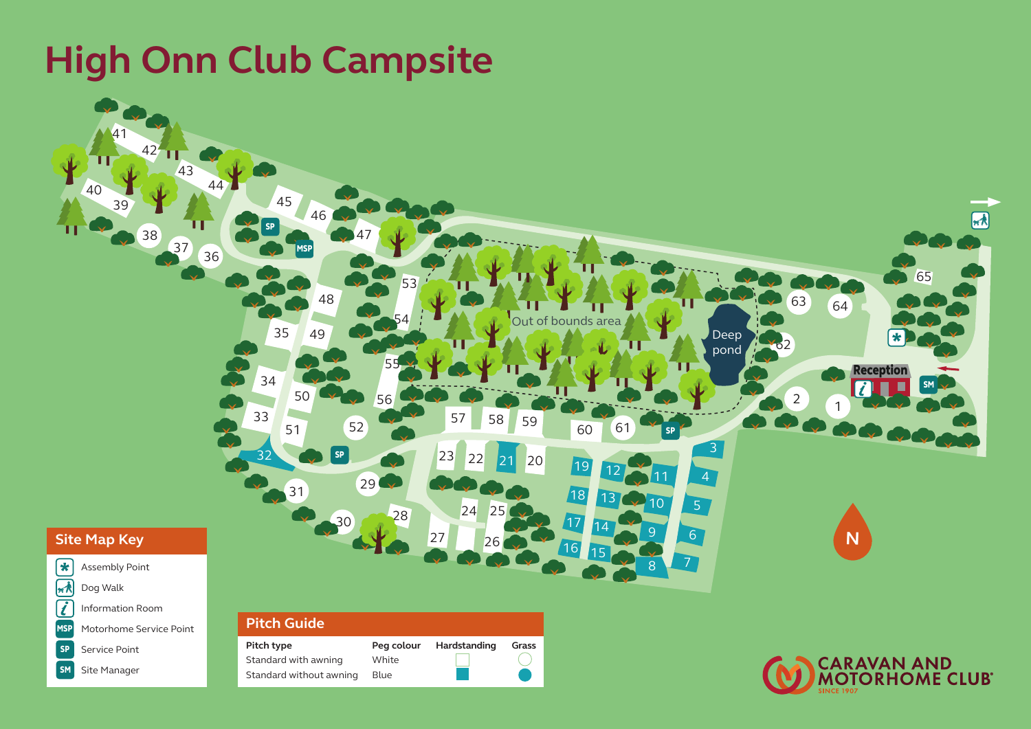#### **High Onn Club Campsite** mando de la c CEP Chemical Toilet Emptying Point Footpath